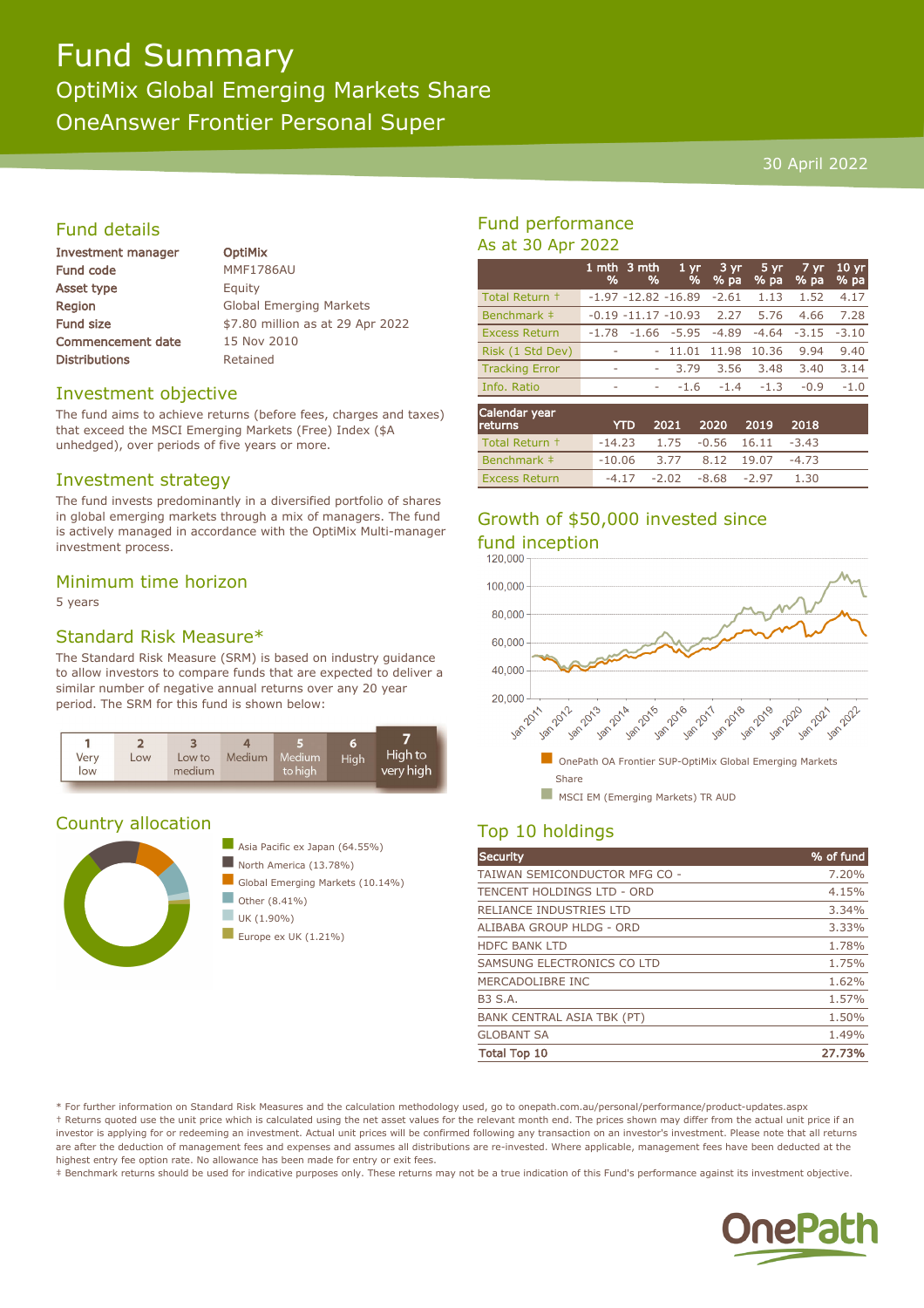# Fund Summary OptiMix Global Emerging Markets Share OneAnswer Frontier Personal Super

#### 30 April 2022

# Fund details

| Investment manager       |
|--------------------------|
| <b>Fund code</b>         |
| Asset type               |
| Region                   |
| <b>Fund size</b>         |
| <b>Commencement date</b> |
| <b>Distributions</b>     |

**OptiMix MMF1786AU** Equity **Global Emerging Markets** \$7.80 million as at 29 Apr 2022 15 Nov 2010 Retained

# Investment objective

The fund aims to achieve returns (before fees, charges and taxes) that exceed the MSCI Emerging Markets (Free) Index (\$A unhedged), over periods of five years or more.

# Investment strategy

The fund invests predominantly in a diversified portfolio of shares in global emerging markets through a mix of managers. The fund is actively managed in accordance with the OptiMix Multi-manager investment process.

# Minimum time horizon

5 years

# Standard Risk Measure\*

The Standard Risk Measure (SRM) is based on industry guidance to allow investors to compare funds that are expected to deliver a similar number of negative annual returns over any 20 year period. The SRM for this fund is shown below:



# Country allocation



# Asia Pacific ex Japan (64.55%) North America (13.78%) n Global Emerging Markets (10.14%) Other (8.41%)  $\n **UK** (1.90%)$

Europe ex UK  $(1.21\%)$ 

# Fund performance As at 30 Apr 2022

|                       | %       | 1 mth 3 mth             | 1 <sub>yr</sub><br>% | 3 yr    | 5 yr    | 7 yr    | 10 <sub>yr</sub> |
|-----------------------|---------|-------------------------|----------------------|---------|---------|---------|------------------|
|                       |         | %                       |                      | % pa    | % pa    | % pa    | % pa             |
| Total Return +        |         | $-1.97 - 12.82 - 16.89$ |                      | -2.61   | 1.13    | 1.52    | 4.17             |
| Benchmark ‡           |         | $-0.19 - 11.17 - 10.93$ |                      | 2.27    | 5.76    | 4.66    | 7.28             |
| <b>Excess Return</b>  | $-1.78$ | $-1.66$                 | -5.95                | $-4.89$ | $-4.64$ | $-3.15$ | $-3.10$          |
| Risk (1 Std Dev)      | ۰       |                         | 11.01                | 11.98   | 10.36   | 9.94    | 9.40             |
| <b>Tracking Error</b> | ۰       | ۰                       | 3.79                 | 3.56    | 3.48    | 3.40    | 3.14             |
| Info. Ratio           | ٠       | ۰                       | $-1.6$               | $-1.4$  | $-1.3$  | $-0.9$  | $-1.0$           |
|                       |         |                         |                      |         |         |         |                  |
| Carl and dans commun  |         |                         |                      |         |         |         |                  |

| Calendar year<br><b>returns</b> | <b>YTD</b>                          |                                 | 2021 2020 2019 2018 |         |  |
|---------------------------------|-------------------------------------|---------------------------------|---------------------|---------|--|
| Total Return +                  | $-14.23$ 1.75 $-0.56$ 16.11 $-3.43$ |                                 |                     |         |  |
| Benchmark #                     | $-10.06$ 3.77 8.12 19.07            |                                 |                     | $-4.73$ |  |
| <b>Excess Return</b>            |                                     | $-4.17$ $-2.02$ $-8.68$ $-2.97$ |                     | $-1.30$ |  |

# Growth of \$50,000 invested since



# Top 10 holdings

| <b>Security</b>                   | % of fund |
|-----------------------------------|-----------|
| TAIWAN SEMICONDUCTOR MFG CO -     | 7.20%     |
| TENCENT HOLDINGS LTD - ORD        | 4.15%     |
| RELIANCE INDUSTRIES LTD           | 3.34%     |
| ALIBABA GROUP HLDG - ORD          | 3.33%     |
| <b>HDFC BANK LTD</b>              | 1.78%     |
| SAMSUNG ELECTRONICS CO LTD        | 1.75%     |
| MERCADOLIBRE INC                  | 1.62%     |
| <b>B3 S.A.</b>                    | 1.57%     |
| <b>BANK CENTRAL ASIA TBK (PT)</b> | 1.50%     |
| <b>GLOBANT SA</b>                 | 1.49%     |
| <b>Total Top 10</b>               | 27.73%    |

\* For further information on Standard Risk Measures and the calculation methodology used, go to onepath.com.au/personal/performance/product-updates.aspx † Returns quoted use the unit price which is calculated using the net asset values for the relevant month end. The prices shown may differ from the actual unit price if an investor is applying for or redeeming an investment. Actual unit prices will be confirmed following any transaction on an investor's investment. Please note that all returns are after the deduction of management fees and expenses and assumes all distributions are re-invested. Where applicable, management fees have been deducted at the highest entry fee option rate. No allowance has been made for entry or exit fees.

‡ Benchmark returns should be used for indicative purposes only. These returns may not be a true indication of this Fund's performance against its investment objective.